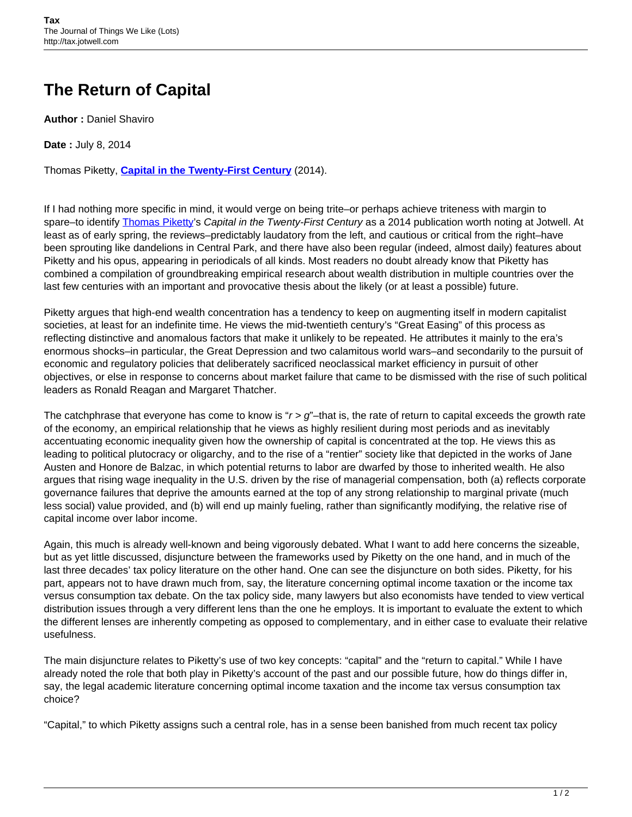## **The Return of Capital**

**Author :** Daniel Shaviro

**Date :** July 8, 2014

Thomas Piketty, **[Capital in the Twenty-First Century](http://www.hup.harvard.edu/catalog.php?isbn=9780674430006)** (2014).

If I had nothing more specific in mind, it would verge on being trite–or perhaps achieve triteness with margin to spare–to identify [Thomas Piketty'](http://piketty.pse.ens.fr/en/cv-en)s Capital in the Twenty-First Century as a 2014 publication worth noting at Jotwell. At least as of early spring, the reviews–predictably laudatory from the left, and cautious or critical from the right–have been sprouting like dandelions in Central Park, and there have also been regular (indeed, almost daily) features about Piketty and his opus, appearing in periodicals of all kinds. Most readers no doubt already know that Piketty has combined a compilation of groundbreaking empirical research about wealth distribution in multiple countries over the last few centuries with an important and provocative thesis about the likely (or at least a possible) future.

Piketty argues that high-end wealth concentration has a tendency to keep on augmenting itself in modern capitalist societies, at least for an indefinite time. He views the mid-twentieth century's "Great Easing" of this process as reflecting distinctive and anomalous factors that make it unlikely to be repeated. He attributes it mainly to the era's enormous shocks–in particular, the Great Depression and two calamitous world wars–and secondarily to the pursuit of economic and regulatory policies that deliberately sacrificed neoclassical market efficiency in pursuit of other objectives, or else in response to concerns about market failure that came to be dismissed with the rise of such political leaders as Ronald Reagan and Margaret Thatcher.

The catchphrase that everyone has come to know is " $r > q$ "–that is, the rate of return to capital exceeds the growth rate of the economy, an empirical relationship that he views as highly resilient during most periods and as inevitably accentuating economic inequality given how the ownership of capital is concentrated at the top. He views this as leading to political plutocracy or oligarchy, and to the rise of a "rentier" society like that depicted in the works of Jane Austen and Honore de Balzac, in which potential returns to labor are dwarfed by those to inherited wealth. He also argues that rising wage inequality in the U.S. driven by the rise of managerial compensation, both (a) reflects corporate governance failures that deprive the amounts earned at the top of any strong relationship to marginal private (much less social) value provided, and (b) will end up mainly fueling, rather than significantly modifying, the relative rise of capital income over labor income.

Again, this much is already well-known and being vigorously debated. What I want to add here concerns the sizeable, but as yet little discussed, disjuncture between the frameworks used by Piketty on the one hand, and in much of the last three decades' tax policy literature on the other hand. One can see the disjuncture on both sides. Piketty, for his part, appears not to have drawn much from, say, the literature concerning optimal income taxation or the income tax versus consumption tax debate. On the tax policy side, many lawyers but also economists have tended to view vertical distribution issues through a very different lens than the one he employs. It is important to evaluate the extent to which the different lenses are inherently competing as opposed to complementary, and in either case to evaluate their relative usefulness.

The main disjuncture relates to Piketty's use of two key concepts: "capital" and the "return to capital." While I have already noted the role that both play in Piketty's account of the past and our possible future, how do things differ in, say, the legal academic literature concerning optimal income taxation and the income tax versus consumption tax choice?

"Capital," to which Piketty assigns such a central role, has in a sense been banished from much recent tax policy